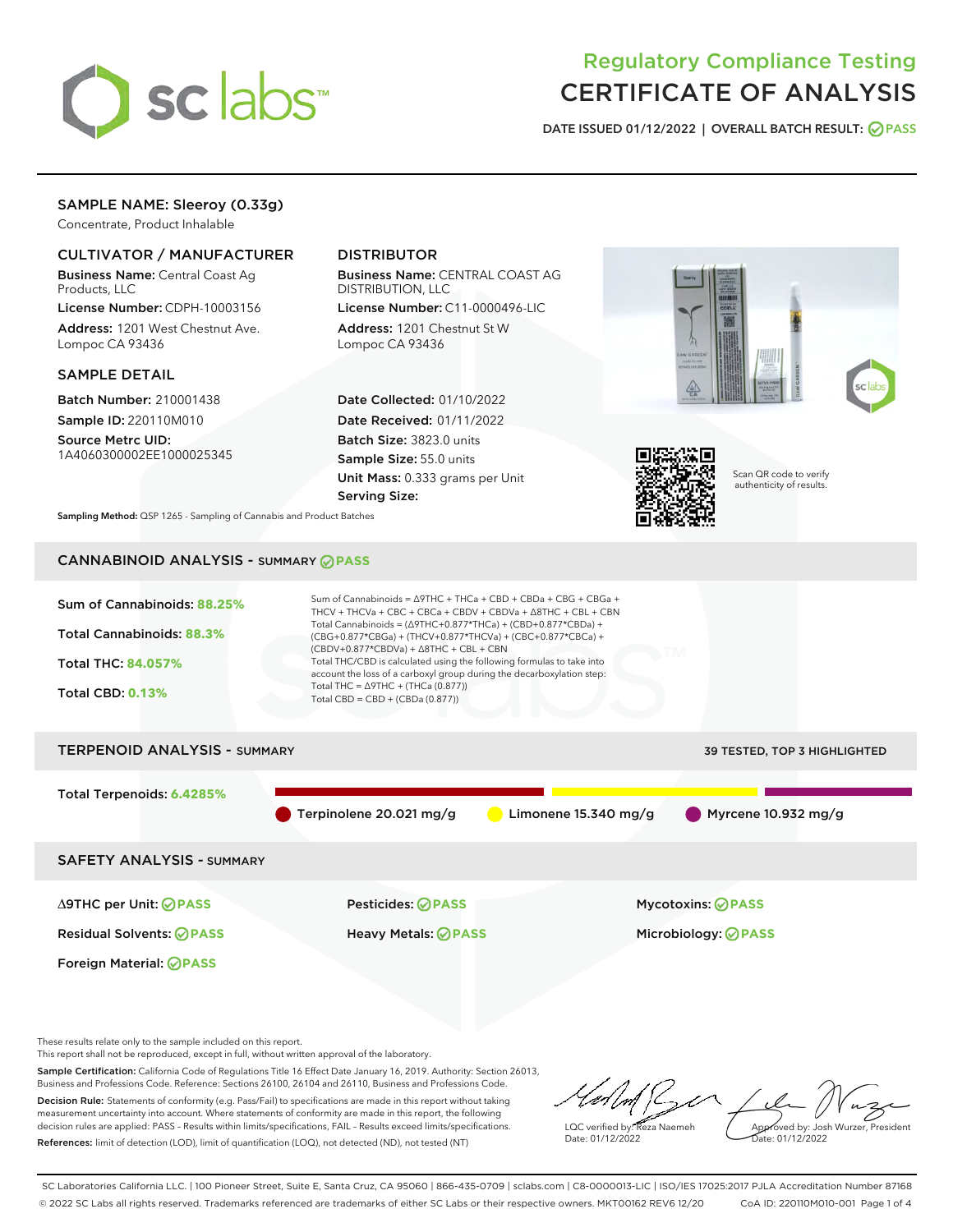

# Regulatory Compliance Testing CERTIFICATE OF ANALYSIS

DATE ISSUED 01/12/2022 | OVERALL BATCH RESULT: @ PASS

## SAMPLE NAME: Sleeroy (0.33g)

Concentrate, Product Inhalable

#### CULTIVATOR / MANUFACTURER

Business Name: Central Coast Ag Products, LLC

License Number: CDPH-10003156 Address: 1201 West Chestnut Ave. Lompoc CA 93436

#### SAMPLE DETAIL

Batch Number: 210001438 Sample ID: 220110M010

Source Metrc UID: 1A4060300002EE1000025345

## DISTRIBUTOR

Business Name: CENTRAL COAST AG DISTRIBUTION, LLC License Number: C11-0000496-LIC

Address: 1201 Chestnut St W Lompoc CA 93436

Date Collected: 01/10/2022 Date Received: 01/11/2022 Batch Size: 3823.0 units Sample Size: 55.0 units Unit Mass: 0.333 grams per Unit Serving Size:





Scan QR code to verify authenticity of results.

Sampling Method: QSP 1265 - Sampling of Cannabis and Product Batches

## CANNABINOID ANALYSIS - SUMMARY **PASS**



These results relate only to the sample included on this report.

This report shall not be reproduced, except in full, without written approval of the laboratory.

Sample Certification: California Code of Regulations Title 16 Effect Date January 16, 2019. Authority: Section 26013, Business and Professions Code. Reference: Sections 26100, 26104 and 26110, Business and Professions Code. Decision Rule: Statements of conformity (e.g. Pass/Fail) to specifications are made in this report without taking measurement uncertainty into account. Where statements of conformity are made in this report, the following decision rules are applied: PASS – Results within limits/specifications, FAIL – Results exceed limits/specifications.

References: limit of detection (LOD), limit of quantification (LOQ), not detected (ND), not tested (NT)

LQC verified by: Reza Naemeh Date: 01/12/2022 Approved by: Josh Wurzer, President ate: 01/12/2022

SC Laboratories California LLC. | 100 Pioneer Street, Suite E, Santa Cruz, CA 95060 | 866-435-0709 | sclabs.com | C8-0000013-LIC | ISO/IES 17025:2017 PJLA Accreditation Number 87168 © 2022 SC Labs all rights reserved. Trademarks referenced are trademarks of either SC Labs or their respective owners. MKT00162 REV6 12/20 CoA ID: 220110M010-001 Page 1 of 4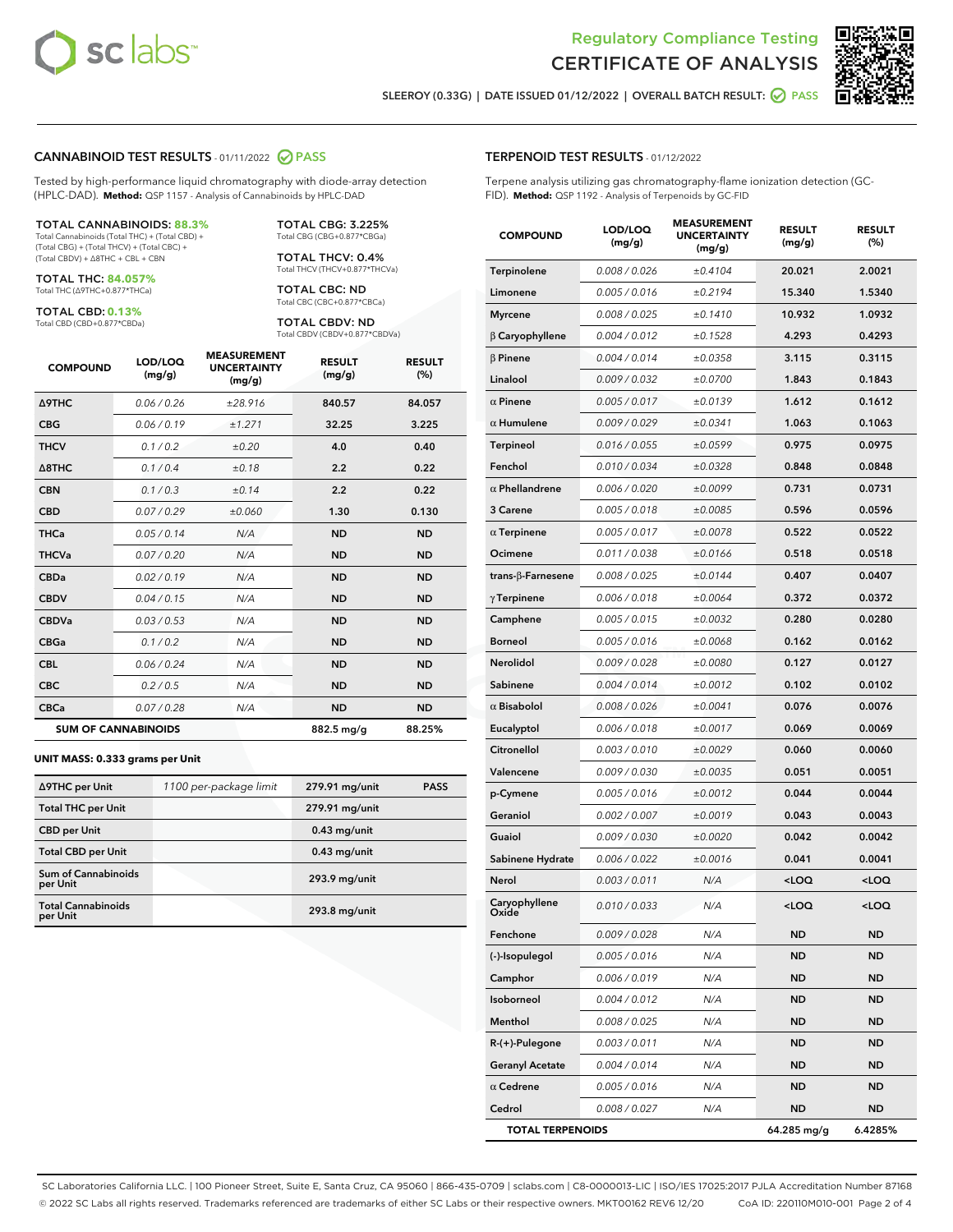



SLEEROY (0.33G) | DATE ISSUED 01/12/2022 | OVERALL BATCH RESULT:  $\bigcirc$  PASS

#### CANNABINOID TEST RESULTS - 01/11/2022 2 PASS

Tested by high-performance liquid chromatography with diode-array detection (HPLC-DAD). **Method:** QSP 1157 - Analysis of Cannabinoids by HPLC-DAD

#### TOTAL CANNABINOIDS: **88.3%**

Total Cannabinoids (Total THC) + (Total CBD) + (Total CBG) + (Total THCV) + (Total CBC) + (Total CBDV) + ∆8THC + CBL + CBN

TOTAL THC: **84.057%** Total THC (∆9THC+0.877\*THCa)

TOTAL CBD: **0.13%**

Total CBD (CBD+0.877\*CBDa)

TOTAL CBG: 3.225% Total CBG (CBG+0.877\*CBGa)

TOTAL THCV: 0.4% Total THCV (THCV+0.877\*THCVa)

TOTAL CBC: ND Total CBC (CBC+0.877\*CBCa)

TOTAL CBDV: ND Total CBDV (CBDV+0.877\*CBDVa)

| <b>COMPOUND</b>  | LOD/LOQ<br>(mg/g)          | <b>MEASUREMENT</b><br><b>UNCERTAINTY</b><br>(mg/g) | <b>RESULT</b><br>(mg/g) | <b>RESULT</b><br>(%) |
|------------------|----------------------------|----------------------------------------------------|-------------------------|----------------------|
| <b>A9THC</b>     | 0.06 / 0.26                | ±28.916                                            | 840.57                  | 84.057               |
| <b>CBG</b>       | 0.06/0.19                  | ±1.271                                             | 32.25                   | 3.225                |
| <b>THCV</b>      | 0.1/0.2                    | ±0.20                                              | 4.0                     | 0.40                 |
| $\triangle$ 8THC | 0.1/0.4                    | ±0.18                                              | 2.2                     | 0.22                 |
| <b>CBN</b>       | 0.1 / 0.3                  | ±0.14                                              | 2.2                     | 0.22                 |
| <b>CBD</b>       | 0.07/0.29                  | ±0.060                                             | 1.30                    | 0.130                |
| <b>THCa</b>      | 0.05/0.14                  | N/A                                                | <b>ND</b>               | <b>ND</b>            |
| <b>THCVa</b>     | 0.07 / 0.20                | N/A                                                | <b>ND</b>               | <b>ND</b>            |
| <b>CBDa</b>      | 0.02/0.19                  | N/A                                                | <b>ND</b>               | <b>ND</b>            |
| <b>CBDV</b>      | 0.04 / 0.15                | N/A                                                | <b>ND</b>               | <b>ND</b>            |
| <b>CBDVa</b>     | 0.03/0.53                  | N/A                                                | <b>ND</b>               | <b>ND</b>            |
| <b>CBGa</b>      | 0.1/0.2                    | N/A                                                | <b>ND</b>               | <b>ND</b>            |
| <b>CBL</b>       | 0.06 / 0.24                | N/A                                                | <b>ND</b>               | <b>ND</b>            |
| <b>CBC</b>       | 0.2 / 0.5                  | N/A                                                | <b>ND</b>               | <b>ND</b>            |
| <b>CBCa</b>      | 0.07 / 0.28                | N/A                                                | <b>ND</b>               | <b>ND</b>            |
|                  | <b>SUM OF CANNABINOIDS</b> |                                                    | 882.5 mg/g              | 88.25%               |

#### **UNIT MASS: 0.333 grams per Unit**

| ∆9THC per Unit                        | 1100 per-package limit | 279.91 mg/unit | <b>PASS</b> |
|---------------------------------------|------------------------|----------------|-------------|
| <b>Total THC per Unit</b>             |                        | 279.91 mg/unit |             |
| <b>CBD per Unit</b>                   |                        | $0.43$ mg/unit |             |
| <b>Total CBD per Unit</b>             |                        | $0.43$ mg/unit |             |
| Sum of Cannabinoids<br>per Unit       |                        | 293.9 mg/unit  |             |
| <b>Total Cannabinoids</b><br>per Unit |                        | 293.8 mg/unit  |             |

| <b>COMPOUND</b>         | LOD/LOQ<br>(mg/g) | <b>MEASUREMI</b><br>UNCERTAINTY<br>(mg/g) | <b>RESULT</b><br>(mg/g)                         | <b>RESULT</b><br>$(\%)$ |
|-------------------------|-------------------|-------------------------------------------|-------------------------------------------------|-------------------------|
| Terpinolene             | 0.008 / 0.026     | ±0.4104                                   | 20.021                                          | 2.0021                  |
| Limonene                | 0.005 / 0.016     | ±0.2194                                   | 15.340                                          | 1.5340                  |
| <b>Myrcene</b>          | 0.008 / 0.025     | ±0.1410                                   | 10.932                                          | 1.0932                  |
| $\beta$ Caryophyllene   | 0.004 / 0.012     | ±0.1528                                   | 4.293                                           | 0.4293                  |
| $\beta$ Pinene          | 0.004 / 0.014     | ±0.0358                                   | 3.115                                           | 0.3115                  |
| Linalool                | 0.009 / 0.032     | ±0.0700                                   | 1.843                                           | 0.1843                  |
| $\alpha$ Pinene         | 0.005 / 0.017     | ±0.0139                                   | 1.612                                           | 0.1612                  |
| $\alpha$ Humulene       | 0.009/0.029       | ±0.0341                                   | 1.063                                           | 0.1063                  |
| Terpineol               | 0.016 / 0.055     | ±0.0599                                   | 0.975                                           | 0.0975                  |
| Fenchol                 | 0.010 / 0.034     | ±0.0328                                   | 0.848                                           | 0.0848                  |
| $\alpha$ Phellandrene   | 0.006 / 0.020     | ±0.0099                                   | 0.731                                           | 0.0731                  |
| 3 Carene                | 0.005 / 0.018     | ±0.0085                                   | 0.596                                           | 0.0596                  |
| $\alpha$ Terpinene      | 0.005 / 0.017     | ±0.0078                                   | 0.522                                           | 0.0522                  |
| Ocimene                 | 0.011 / 0.038     | ±0.0166                                   | 0.518                                           | 0.0518                  |
| trans-β-Farnesene       | 0.008 / 0.025     | ±0.0144                                   | 0.407                                           | 0.0407                  |
| $\gamma$ Terpinene      | 0.006 / 0.018     | ±0.0064                                   | 0.372                                           | 0.0372                  |
| Camphene                | 0.005 / 0.015     | ±0.0032                                   | 0.280                                           | 0.0280                  |
| <b>Borneol</b>          | 0.005 / 0.016     | ±0.0068                                   | 0.162                                           | 0.0162                  |
| <b>Nerolidol</b>        | 0.009 / 0.028     | ±0.0080                                   | 0.127                                           | 0.0127                  |
| Sabinene                | 0.004 / 0.014     | ±0.0012                                   | 0.102                                           | 0.0102                  |
| $\alpha$ Bisabolol      | 0.008 / 0.026     | ±0.0041                                   | 0.076                                           | 0.0076                  |
| Eucalyptol              | 0.006 / 0.018     | ±0.0017                                   | 0.069                                           | 0.0069                  |
| Citronellol             | 0.003 / 0.010     | ±0.0029                                   | 0.060                                           | 0.0060                  |
| Valencene               | 0.009 / 0.030     | ±0.0035                                   | 0.051                                           | 0.0051                  |
| p-Cymene                | 0.005 / 0.016     | ±0.0012                                   | 0.044                                           | 0.0044                  |
| Geraniol                | 0.002 / 0.007     | ±0.0019                                   | 0.043                                           | 0.0043                  |
| Guaiol                  | 0.009 / 0.030     | ±0.0020                                   | 0.042                                           | 0.0042                  |
| Sabinene Hydrate        | 0.006 / 0.022     | ±0.0016                                   | 0.041                                           | 0.0041                  |
| Nerol                   | 0.003 / 0.011     | N/A                                       | <loq< th=""><th><loq< th=""></loq<></th></loq<> | <loq< th=""></loq<>     |
| Caryophyllene<br>Oxide  | 0.010 / 0.033     | N/A                                       | <loq< th=""><th><loq< th=""></loq<></th></loq<> | <loq< th=""></loq<>     |
| Fenchone                | 0.009 / 0.028     | N/A                                       | ND                                              | ND                      |
| (-)-Isopulegol          | 0.005 / 0.016     | N/A                                       | ND                                              | ND                      |
| Camphor                 | 0.006 / 0.019     | N/A                                       | ND                                              | ND                      |
| Isoborneol              | 0.004 / 0.012     | N/A                                       | ND                                              | ND                      |
| Menthol                 | 0.008 / 0.025     | N/A                                       | ND                                              | <b>ND</b>               |
| R-(+)-Pulegone          | 0.003 / 0.011     | N/A                                       | ND                                              | ND                      |
| <b>Geranyl Acetate</b>  | 0.004 / 0.014     | N/A                                       | ND                                              | ND                      |
| $\alpha$ Cedrene        | 0.005 / 0.016     | N/A                                       | <b>ND</b>                                       | <b>ND</b>               |
| Cedrol                  | 0.008 / 0.027     | N/A                                       | ND                                              | ND                      |
| <b>TOTAL TERPENOIDS</b> |                   |                                           | 64.285 mg/g                                     | 6.4285%                 |

SC Laboratories California LLC. | 100 Pioneer Street, Suite E, Santa Cruz, CA 95060 | 866-435-0709 | sclabs.com | C8-0000013-LIC | ISO/IES 17025:2017 PJLA Accreditation Number 87168 © 2022 SC Labs all rights reserved. Trademarks referenced are trademarks of either SC Labs or their respective owners. MKT00162 REV6 12/20 CoA ID: 220110M010-001 Page 2 of 4

#### TERPENOID TEST RESULTS - 01/12/2022

Terpene analysis utilizing gas chromatography-flame ionization detection (GC-FID). **Method:** QSP 1192 - Analysis of Terpenoids by GC-FID

MEASUREMENT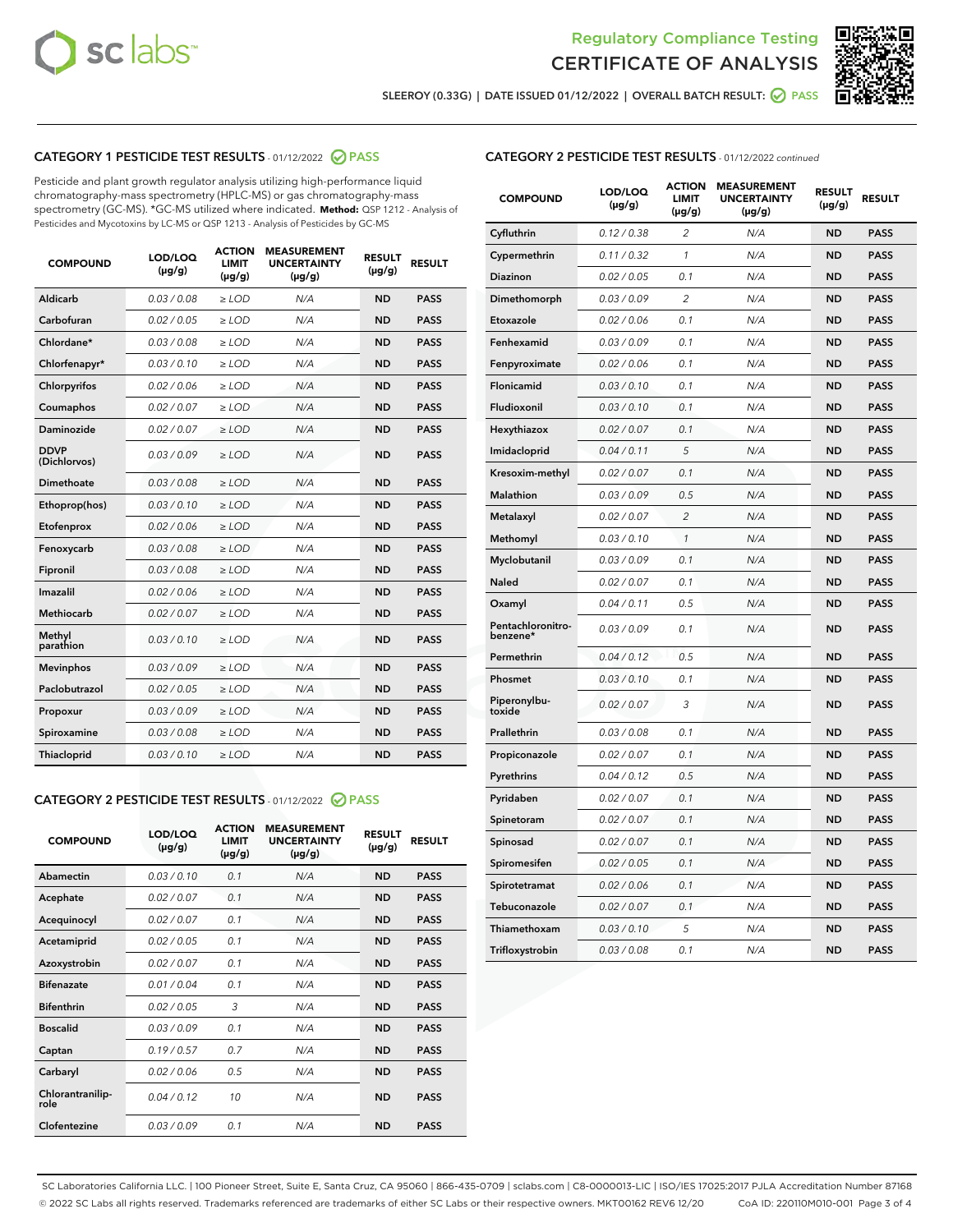



SLEEROY (0.33G) | DATE ISSUED 01/12/2022 | OVERALL BATCH RESULT:  $\bigcirc$  PASS

#### CATEGORY 1 PESTICIDE TEST RESULTS - 01/12/2022 2 PASS

Pesticide and plant growth regulator analysis utilizing high-performance liquid chromatography-mass spectrometry (HPLC-MS) or gas chromatography-mass spectrometry (GC-MS). \*GC-MS utilized where indicated. **Method:** QSP 1212 - Analysis of Pesticides and Mycotoxins by LC-MS or QSP 1213 - Analysis of Pesticides by GC-MS

| <b>COMPOUND</b>             | LOD/LOQ<br>$(\mu g/g)$ | <b>ACTION</b><br><b>LIMIT</b><br>$(\mu g/g)$ | <b>MEASUREMENT</b><br><b>UNCERTAINTY</b><br>$(\mu g/g)$ | <b>RESULT</b><br>$(\mu g/g)$ | <b>RESULT</b> |
|-----------------------------|------------------------|----------------------------------------------|---------------------------------------------------------|------------------------------|---------------|
| Aldicarb                    | 0.03/0.08              | $>$ LOD                                      | N/A                                                     | <b>ND</b>                    | <b>PASS</b>   |
| Carbofuran                  | 0.02 / 0.05            | $\ge$ LOD                                    | N/A                                                     | <b>ND</b>                    | <b>PASS</b>   |
| Chlordane*                  | 0.03 / 0.08            | $\geq$ LOD                                   | N/A                                                     | <b>ND</b>                    | <b>PASS</b>   |
| Chlorfenapyr*               | 0.03/0.10              | $\ge$ LOD                                    | N/A                                                     | <b>ND</b>                    | <b>PASS</b>   |
| Chlorpyrifos                | 0.02 / 0.06            | $\ge$ LOD                                    | N/A                                                     | <b>ND</b>                    | <b>PASS</b>   |
| Coumaphos                   | 0.02 / 0.07            | $\ge$ LOD                                    | N/A                                                     | <b>ND</b>                    | <b>PASS</b>   |
| Daminozide                  | 0.02/0.07              | $>$ LOD                                      | N/A                                                     | <b>ND</b>                    | <b>PASS</b>   |
| <b>DDVP</b><br>(Dichlorvos) | 0.03/0.09              | $\ge$ LOD                                    | N/A                                                     | <b>ND</b>                    | <b>PASS</b>   |
| <b>Dimethoate</b>           | 0.03/0.08              | $\ge$ LOD                                    | N/A                                                     | <b>ND</b>                    | <b>PASS</b>   |
| Ethoprop(hos)               | 0.03/0.10              | $\ge$ LOD                                    | N/A                                                     | <b>ND</b>                    | <b>PASS</b>   |
| Etofenprox                  | 0.02 / 0.06            | $\ge$ LOD                                    | N/A                                                     | <b>ND</b>                    | <b>PASS</b>   |
| Fenoxycarb                  | 0.03/0.08              | $\ge$ LOD                                    | N/A                                                     | <b>ND</b>                    | <b>PASS</b>   |
| Fipronil                    | 0.03/0.08              | $\ge$ LOD                                    | N/A                                                     | <b>ND</b>                    | <b>PASS</b>   |
| Imazalil                    | 0.02 / 0.06            | $>$ LOD                                      | N/A                                                     | <b>ND</b>                    | <b>PASS</b>   |
| Methiocarb                  | 0.02 / 0.07            | $>$ LOD                                      | N/A                                                     | <b>ND</b>                    | <b>PASS</b>   |
| Methyl<br>parathion         | 0.03/0.10              | $>$ LOD                                      | N/A                                                     | <b>ND</b>                    | <b>PASS</b>   |
| <b>Mevinphos</b>            | 0.03/0.09              | $\ge$ LOD                                    | N/A                                                     | <b>ND</b>                    | <b>PASS</b>   |
| Paclobutrazol               | 0.02 / 0.05            | $>$ LOD                                      | N/A                                                     | <b>ND</b>                    | <b>PASS</b>   |
| Propoxur                    | 0.03/0.09              | $\ge$ LOD                                    | N/A                                                     | <b>ND</b>                    | <b>PASS</b>   |
| Spiroxamine                 | 0.03 / 0.08            | $\ge$ LOD                                    | N/A                                                     | <b>ND</b>                    | <b>PASS</b>   |
| Thiacloprid                 | 0.03/0.10              | $\ge$ LOD                                    | N/A                                                     | <b>ND</b>                    | <b>PASS</b>   |

#### CATEGORY 2 PESTICIDE TEST RESULTS - 01/12/2022 2 PASS

| <b>COMPOUND</b>          | LOD/LOO<br>$(\mu g/g)$ | <b>ACTION</b><br>LIMIT<br>$(\mu g/g)$ | <b>MEASUREMENT</b><br><b>UNCERTAINTY</b><br>$(\mu g/g)$ | <b>RESULT</b><br>$(\mu g/g)$ | <b>RESULT</b> |  |
|--------------------------|------------------------|---------------------------------------|---------------------------------------------------------|------------------------------|---------------|--|
| Abamectin                | 0.03/0.10              | 0.1                                   | N/A                                                     | <b>ND</b>                    | <b>PASS</b>   |  |
| Acephate                 | 0.02/0.07              | 0.1                                   | N/A                                                     | <b>ND</b>                    | <b>PASS</b>   |  |
| Acequinocyl              | 0.02/0.07              | 0.1                                   | N/A                                                     | <b>ND</b>                    | <b>PASS</b>   |  |
| Acetamiprid              | 0.02 / 0.05            | 0.1                                   | N/A                                                     | <b>ND</b>                    | <b>PASS</b>   |  |
| Azoxystrobin             | 0.02/0.07              | 0.1                                   | N/A                                                     | <b>ND</b>                    | <b>PASS</b>   |  |
| <b>Bifenazate</b>        | 0.01 / 0.04            | 0.1                                   | N/A                                                     | <b>ND</b>                    | <b>PASS</b>   |  |
| <b>Bifenthrin</b>        | 0.02 / 0.05            | 3                                     | N/A                                                     | <b>ND</b>                    | <b>PASS</b>   |  |
| <b>Boscalid</b>          | 0.03/0.09              | 0.1                                   | N/A                                                     | <b>ND</b>                    | <b>PASS</b>   |  |
| Captan                   | 0.19/0.57              | 0.7                                   | N/A                                                     | <b>ND</b>                    | <b>PASS</b>   |  |
| Carbaryl                 | 0.02/0.06              | 0.5                                   | N/A                                                     | <b>ND</b>                    | <b>PASS</b>   |  |
| Chlorantranilip-<br>role | 0.04/0.12              | 10                                    | N/A                                                     | <b>ND</b>                    | <b>PASS</b>   |  |
| Clofentezine             | 0.03/0.09              | 0.1                                   | N/A                                                     | <b>ND</b>                    | <b>PASS</b>   |  |

| <b>COMPOUND</b>               | LOD/LOQ<br>(µg/g) | <b>ACTION</b><br>LIMIT<br>(µg/g) | <b>MEASUREMENT</b><br><b>UNCERTAINTY</b><br>(µg/g) | <b>RESULT</b><br>(µg/g) | <b>RESULT</b> |
|-------------------------------|-------------------|----------------------------------|----------------------------------------------------|-------------------------|---------------|
| Cyfluthrin                    | 0.12 / 0.38       | $\overline{c}$                   | N/A                                                | <b>ND</b>               | <b>PASS</b>   |
| Cypermethrin                  | 0.11/0.32         | 1                                | N/A                                                | <b>ND</b>               | <b>PASS</b>   |
| <b>Diazinon</b>               | 0.02 / 0.05       | 0.1                              | N/A                                                | <b>ND</b>               | <b>PASS</b>   |
| Dimethomorph                  | 0.03 / 0.09       | 2                                | N/A                                                | <b>ND</b>               | <b>PASS</b>   |
| Etoxazole                     | 0.02 / 0.06       | 0.1                              | N/A                                                | <b>ND</b>               | <b>PASS</b>   |
| Fenhexamid                    | 0.03 / 0.09       | 0.1                              | N/A                                                | <b>ND</b>               | <b>PASS</b>   |
| Fenpyroximate                 | 0.02 / 0.06       | 0.1                              | N/A                                                | <b>ND</b>               | <b>PASS</b>   |
| Flonicamid                    | 0.03 / 0.10       | 0.1                              | N/A                                                | <b>ND</b>               | <b>PASS</b>   |
| Fludioxonil                   | 0.03 / 0.10       | 0.1                              | N/A                                                | <b>ND</b>               | <b>PASS</b>   |
| Hexythiazox                   | 0.02 / 0.07       | 0.1                              | N/A                                                | <b>ND</b>               | <b>PASS</b>   |
| Imidacloprid                  | 0.04 / 0.11       | 5                                | N/A                                                | <b>ND</b>               | <b>PASS</b>   |
| Kresoxim-methyl               | 0.02 / 0.07       | 0.1                              | N/A                                                | <b>ND</b>               | <b>PASS</b>   |
| <b>Malathion</b>              | 0.03 / 0.09       | 0.5                              | N/A                                                | <b>ND</b>               | <b>PASS</b>   |
| Metalaxyl                     | 0.02 / 0.07       | $\overline{c}$                   | N/A                                                | <b>ND</b>               | <b>PASS</b>   |
| Methomyl                      | 0.03 / 0.10       | 1                                | N/A                                                | <b>ND</b>               | <b>PASS</b>   |
| Myclobutanil                  | 0.03/0.09         | 0.1                              | N/A                                                | <b>ND</b>               | <b>PASS</b>   |
| Naled                         | 0.02 / 0.07       | 0.1                              | N/A                                                | <b>ND</b>               | <b>PASS</b>   |
| Oxamyl                        | 0.04 / 0.11       | 0.5                              | N/A                                                | <b>ND</b>               | <b>PASS</b>   |
| Pentachloronitro-<br>benzene* | 0.03/0.09         | 0.1                              | N/A                                                | <b>ND</b>               | <b>PASS</b>   |
| Permethrin                    | 0.04 / 0.12       | 0.5                              | N/A                                                | <b>ND</b>               | <b>PASS</b>   |
| Phosmet                       | 0.03 / 0.10       | 0.1                              | N/A                                                | <b>ND</b>               | <b>PASS</b>   |
| Piperonylbu-<br>toxide        | 0.02 / 0.07       | 3                                | N/A                                                | <b>ND</b>               | <b>PASS</b>   |
| Prallethrin                   | 0.03 / 0.08       | 0.1                              | N/A                                                | <b>ND</b>               | <b>PASS</b>   |
| Propiconazole                 | 0.02 / 0.07       | 0.1                              | N/A                                                | <b>ND</b>               | <b>PASS</b>   |
| Pyrethrins                    | 0.04 / 0.12       | 0.5                              | N/A                                                | <b>ND</b>               | <b>PASS</b>   |
| Pyridaben                     | 0.02 / 0.07       | 0.1                              | N/A                                                | <b>ND</b>               | <b>PASS</b>   |
| Spinetoram                    | 0.02 / 0.07       | 0.1                              | N/A                                                | <b>ND</b>               | <b>PASS</b>   |
| Spinosad                      | 0.02 / 0.07       | 0.1                              | N/A                                                | <b>ND</b>               | <b>PASS</b>   |
| Spiromesifen                  | 0.02 / 0.05       | 0.1                              | N/A                                                | <b>ND</b>               | <b>PASS</b>   |
| Spirotetramat                 | 0.02 / 0.06       | 0.1                              | N/A                                                | <b>ND</b>               | <b>PASS</b>   |
| Tebuconazole                  | 0.02 / 0.07       | 0.1                              | N/A                                                | <b>ND</b>               | <b>PASS</b>   |
| Thiamethoxam                  | 0.03 / 0.10       | 5                                | N/A                                                | <b>ND</b>               | <b>PASS</b>   |
| Trifloxystrobin               | 0.03 / 0.08       | 0.1                              | N/A                                                | <b>ND</b>               | <b>PASS</b>   |

SC Laboratories California LLC. | 100 Pioneer Street, Suite E, Santa Cruz, CA 95060 | 866-435-0709 | sclabs.com | C8-0000013-LIC | ISO/IES 17025:2017 PJLA Accreditation Number 87168 © 2022 SC Labs all rights reserved. Trademarks referenced are trademarks of either SC Labs or their respective owners. MKT00162 REV6 12/20 CoA ID: 220110M010-001 Page 3 of 4